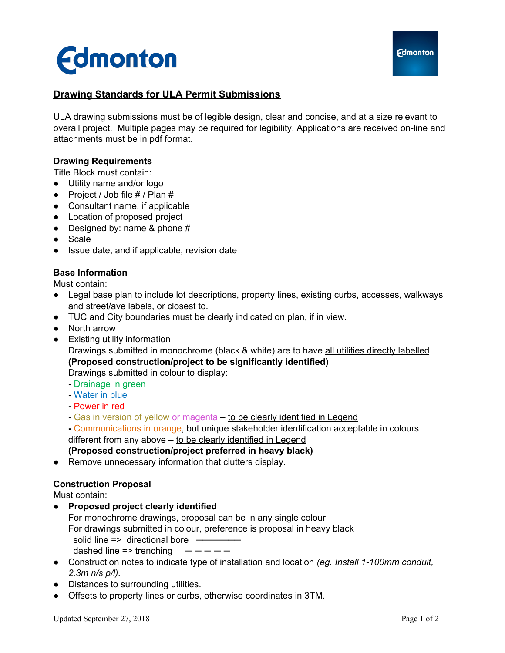



# **Drawing Standards for ULA Permit Submissions**

ULA drawing submissions must be of legible design, clear and concise, and at a size relevant to overall project. Multiple pages may be required for legibility. Applications are received on-line and attachments must be in pdf format.

#### **Drawing Requirements**

Title Block must contain:

- Utility name and/or logo
- Project / Job file  $#$  / Plan  $#$
- Consultant name, if applicable
- Location of proposed project
- Designed by: name & phone  $#$
- Scale
- Issue date, and if applicable, revision date

### **Base Information**

Must contain:

- Legal base plan to include lot descriptions, property lines, existing curbs, accesses, walkways and street/ave labels, or closest to.
- TUC and City boundaries must be clearly indicated on plan, if in view.
- North arrow
- Existing utility information

Drawings submitted in monochrome (black & white) are to have all utilities directly labelled **(Proposed construction/project to be significantly identified)**

Drawings submitted in colour to display:

- **-** Drainage in green
- **-** Water in blue
- **-** Power in red
- **-** Gas in version of yellow or magenta to be clearly identified in Legend

**-** Communications in orange, but unique stakeholder identification acceptable in colours different from any above – to be clearly identified in Legend

**(Proposed construction/project preferred in heavy black)**

● Remove unnecessary information that clutters display.

#### **Construction Proposal**

Must contain:

● **Proposed project clearly identified**

For monochrome drawings, proposal can be in any single colour For drawings submitted in colour, preference is proposal in heavy black solid line => directional bore dashed line  $\Rightarrow$  trenching

- Construction notes to indicate type of installation and location *(eg. Install 1-100mm conduit, 2.3m n/s p/l).*
- Distances to surrounding utilities.
- Offsets to property lines or curbs, otherwise coordinates in 3TM.